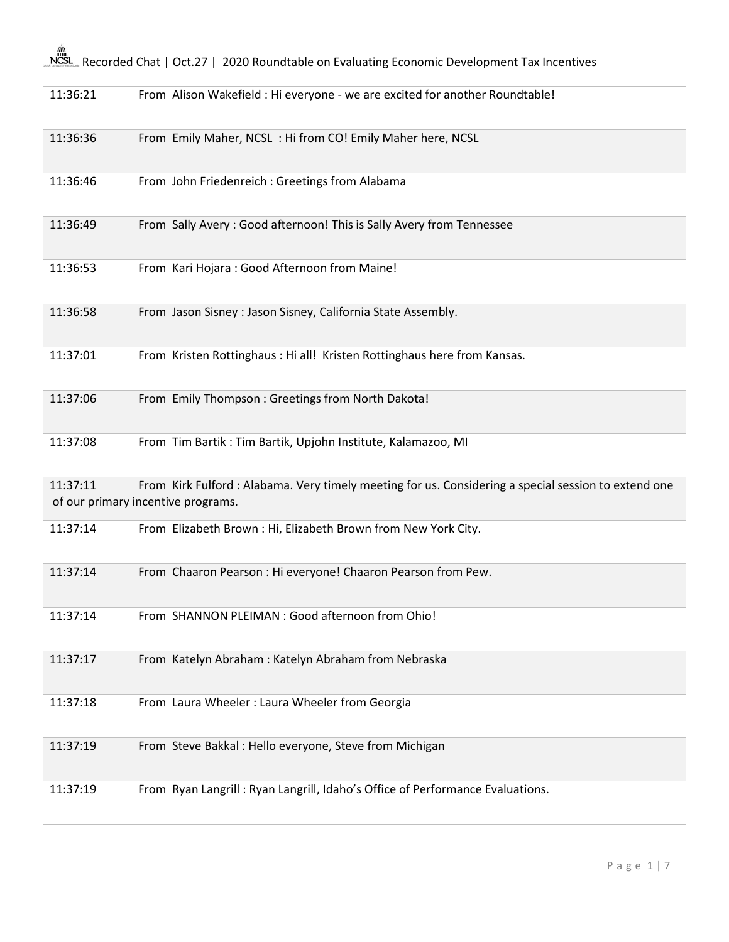## M®<br>NCSL\_Recorded Chat | Oct.27 | 2020 Roundtable on Evaluating Economic Development Tax Incentives

| 11:36:21 | From Alison Wakefield : Hi everyone - we are excited for another Roundtable!                                                              |
|----------|-------------------------------------------------------------------------------------------------------------------------------------------|
| 11:36:36 | From Emily Maher, NCSL: Hi from CO! Emily Maher here, NCSL                                                                                |
| 11:36:46 | From John Friedenreich : Greetings from Alabama                                                                                           |
| 11:36:49 | From Sally Avery: Good afternoon! This is Sally Avery from Tennessee                                                                      |
| 11:36:53 | From Kari Hojara: Good Afternoon from Maine!                                                                                              |
| 11:36:58 | From Jason Sisney : Jason Sisney, California State Assembly.                                                                              |
| 11:37:01 | From Kristen Rottinghaus: Hi all! Kristen Rottinghaus here from Kansas.                                                                   |
| 11:37:06 | From Emily Thompson: Greetings from North Dakota!                                                                                         |
| 11:37:08 | From Tim Bartik: Tim Bartik, Upjohn Institute, Kalamazoo, MI                                                                              |
| 11:37:11 | From Kirk Fulford: Alabama. Very timely meeting for us. Considering a special session to extend one<br>of our primary incentive programs. |
| 11:37:14 | From Elizabeth Brown : Hi, Elizabeth Brown from New York City.                                                                            |
| 11:37:14 | From Chaaron Pearson : Hi everyone! Chaaron Pearson from Pew.                                                                             |
| 11:37:14 | From SHANNON PLEIMAN : Good afternoon from Ohio!                                                                                          |
| 11:37:17 | From Katelyn Abraham: Katelyn Abraham from Nebraska                                                                                       |
| 11:37:18 | From Laura Wheeler: Laura Wheeler from Georgia                                                                                            |
| 11:37:19 | From Steve Bakkal: Hello everyone, Steve from Michigan                                                                                    |
| 11:37:19 | From Ryan Langrill: Ryan Langrill, Idaho's Office of Performance Evaluations.                                                             |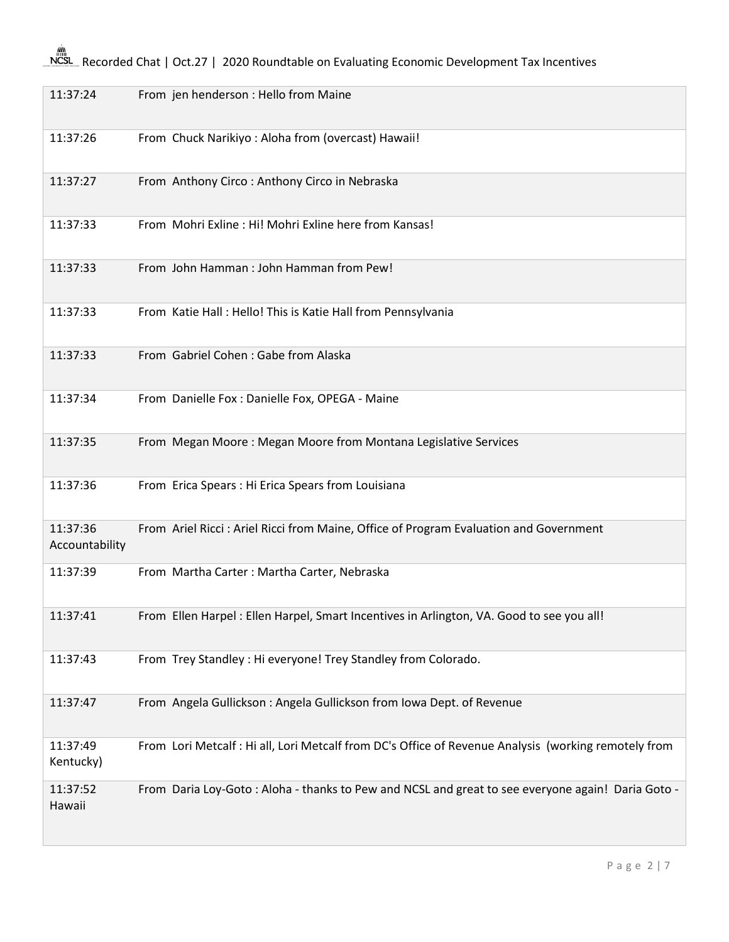## **ANCSL** Recorded Chat | Oct.27 | 2020 Roundtable on Evaluating Economic Development Tax Incentives

| 11:37:24                   | From jen henderson : Hello from Maine                                                                |
|----------------------------|------------------------------------------------------------------------------------------------------|
| 11:37:26                   | From Chuck Narikiyo: Aloha from (overcast) Hawaii!                                                   |
| 11:37:27                   | From Anthony Circo: Anthony Circo in Nebraska                                                        |
| 11:37:33                   | From Mohri Exline: Hi! Mohri Exline here from Kansas!                                                |
| 11:37:33                   | From John Hamman: John Hamman from Pew!                                                              |
| 11:37:33                   | From Katie Hall: Hello! This is Katie Hall from Pennsylvania                                         |
| 11:37:33                   | From Gabriel Cohen: Gabe from Alaska                                                                 |
| 11:37:34                   | From Danielle Fox: Danielle Fox, OPEGA - Maine                                                       |
| 11:37:35                   | From Megan Moore: Megan Moore from Montana Legislative Services                                      |
| 11:37:36                   | From Erica Spears : Hi Erica Spears from Louisiana                                                   |
| 11:37:36<br>Accountability | From Ariel Ricci: Ariel Ricci from Maine, Office of Program Evaluation and Government                |
| 11:37:39                   | From Martha Carter: Martha Carter, Nebraska                                                          |
| 11:37:41                   | From Ellen Harpel : Ellen Harpel, Smart Incentives in Arlington, VA. Good to see you all!            |
| 11:37:43                   | From Trey Standley: Hi everyone! Trey Standley from Colorado.                                        |
| 11:37:47                   | From Angela Gullickson: Angela Gullickson from Iowa Dept. of Revenue                                 |
| 11:37:49<br>Kentucky)      | From Lori Metcalf : Hi all, Lori Metcalf from DC's Office of Revenue Analysis (working remotely from |
| 11:37:52<br>Hawaii         | From Daria Loy-Goto: Aloha - thanks to Pew and NCSL and great to see everyone again! Daria Goto -    |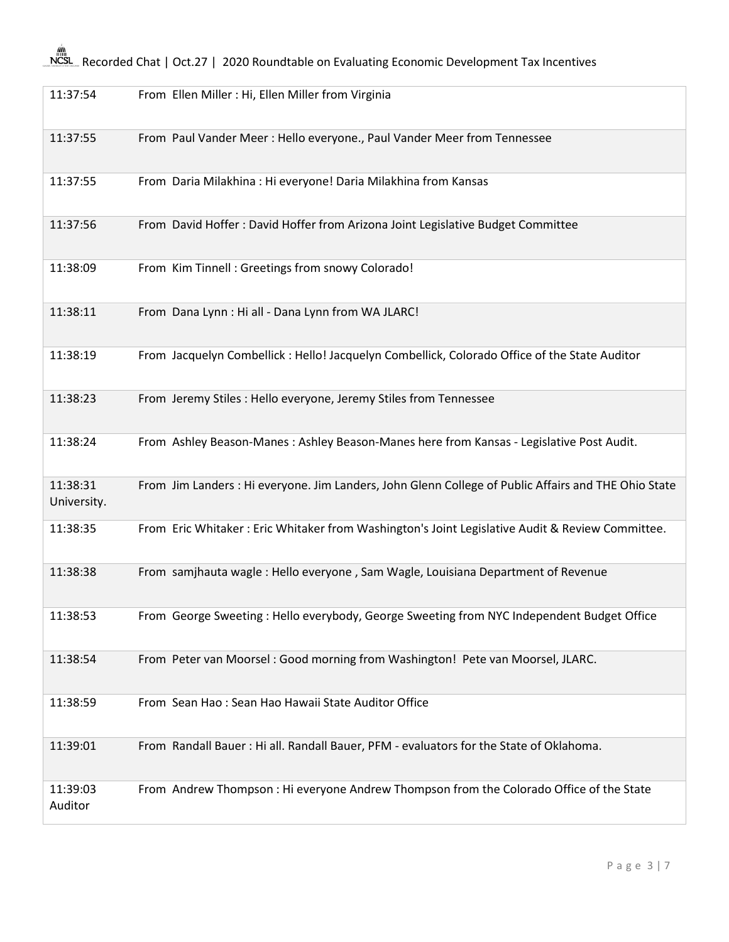| 11:37:54                | From Ellen Miller : Hi, Ellen Miller from Virginia                                                   |
|-------------------------|------------------------------------------------------------------------------------------------------|
|                         |                                                                                                      |
| 11:37:55                | From Paul Vander Meer: Hello everyone., Paul Vander Meer from Tennessee                              |
| 11:37:55                | From Daria Milakhina: Hi everyone! Daria Milakhina from Kansas                                       |
| 11:37:56                | From David Hoffer: David Hoffer from Arizona Joint Legislative Budget Committee                      |
| 11:38:09                | From Kim Tinnell: Greetings from snowy Colorado!                                                     |
| 11:38:11                | From Dana Lynn : Hi all - Dana Lynn from WA JLARC!                                                   |
| 11:38:19                | From Jacquelyn Combellick : Hello! Jacquelyn Combellick, Colorado Office of the State Auditor        |
| 11:38:23                | From Jeremy Stiles : Hello everyone, Jeremy Stiles from Tennessee                                    |
| 11:38:24                | From Ashley Beason-Manes : Ashley Beason-Manes here from Kansas - Legislative Post Audit.            |
| 11:38:31<br>University. | From Jim Landers : Hi everyone. Jim Landers, John Glenn College of Public Affairs and THE Ohio State |
| 11:38:35                | From Eric Whitaker: Eric Whitaker from Washington's Joint Legislative Audit & Review Committee.      |
| 11:38:38                | From samjhauta wagle: Hello everyone, Sam Wagle, Louisiana Department of Revenue                     |
| 11:38:53                | From George Sweeting: Hello everybody, George Sweeting from NYC Independent Budget Office            |
| 11:38:54                | From Peter van Moorsel : Good morning from Washington! Pete van Moorsel, JLARC.                      |
| 11:38:59                | From Sean Hao: Sean Hao Hawaii State Auditor Office                                                  |
| 11:39:01                | From Randall Bauer : Hi all. Randall Bauer, PFM - evaluators for the State of Oklahoma.              |
| 11:39:03<br>Auditor     | From Andrew Thompson : Hi everyone Andrew Thompson from the Colorado Office of the State             |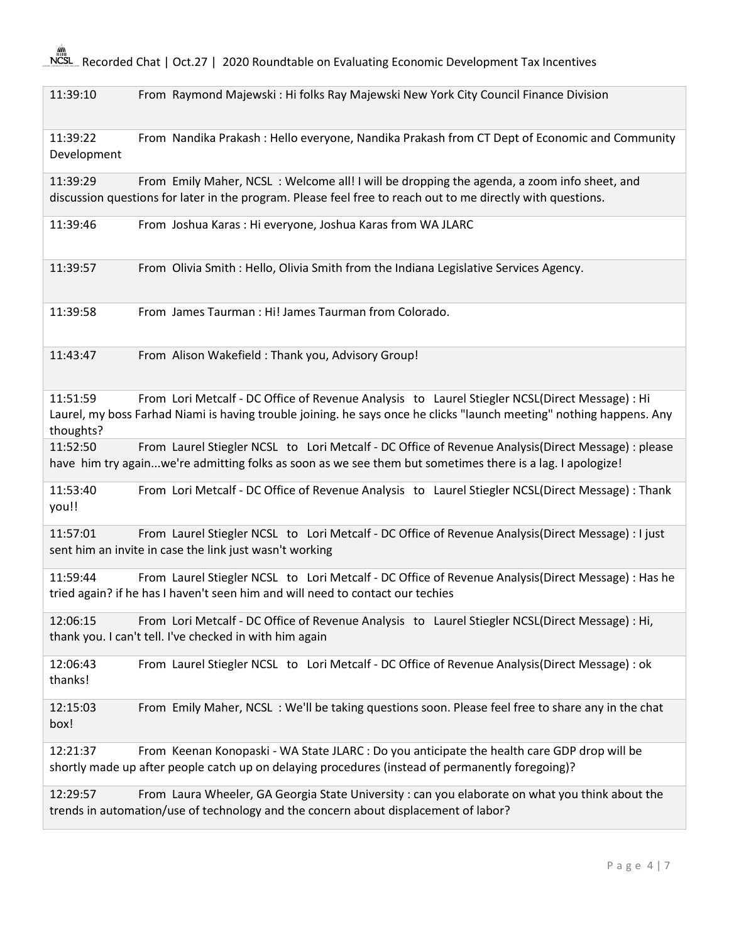NCSL Recorded Chat | Oct.27 | 2020 Roundtable on Evaluating Economic Development Tax Incentives

11:39:10 From Raymond Majewski : Hi folks Ray Majewski New York City Council Finance Division

11:39:22 From Nandika Prakash : Hello everyone, Nandika Prakash from CT Dept of Economic and Community Development

11:39:29 From Emily Maher, NCSL : Welcome all! I will be dropping the agenda, a zoom info sheet, and discussion questions for later in the program. Please feel free to reach out to me directly with questions.

11:39:46 From Joshua Karas : Hi everyone, Joshua Karas from WA JLARC

11:39:57 From Olivia Smith : Hello, Olivia Smith from the Indiana Legislative Services Agency.

11:39:58 From James Taurman : Hi! James Taurman from Colorado.

11:43:47 From Alison Wakefield : Thank you, Advisory Group!

11:51:59 From Lori Metcalf - DC Office of Revenue Analysis to Laurel Stiegler NCSL(Direct Message) : Hi Laurel, my boss Farhad Niami is having trouble joining. he says once he clicks "launch meeting" nothing happens. Any thoughts?

11:52:50 From Laurel Stiegler NCSL to Lori Metcalf - DC Office of Revenue Analysis(Direct Message) : please have him try again...we're admitting folks as soon as we see them but sometimes there is a lag. I apologize!

11:53:40 From Lori Metcalf - DC Office of Revenue Analysis to Laurel Stiegler NCSL(Direct Message) : Thank you!!

11:57:01 From Laurel Stiegler NCSL to Lori Metcalf - DC Office of Revenue Analysis(Direct Message) : I just sent him an invite in case the link just wasn't working

11:59:44 From Laurel Stiegler NCSL to Lori Metcalf - DC Office of Revenue Analysis(Direct Message) : Has he tried again? if he has I haven't seen him and will need to contact our techies

12:06:15 From Lori Metcalf - DC Office of Revenue Analysis to Laurel Stiegler NCSL(Direct Message) : Hi, thank you. I can't tell. I've checked in with him again

12:06:43 From Laurel Stiegler NCSL to Lori Metcalf - DC Office of Revenue Analysis(Direct Message) : ok thanks!

12:15:03 From Emily Maher, NCSL : We'll be taking questions soon. Please feel free to share any in the chat box!

12:21:37 From Keenan Konopaski - WA State JLARC : Do you anticipate the health care GDP drop will be shortly made up after people catch up on delaying procedures (instead of permanently foregoing)?

12:29:57 From Laura Wheeler, GA Georgia State University : can you elaborate on what you think about the trends in automation/use of technology and the concern about displacement of labor?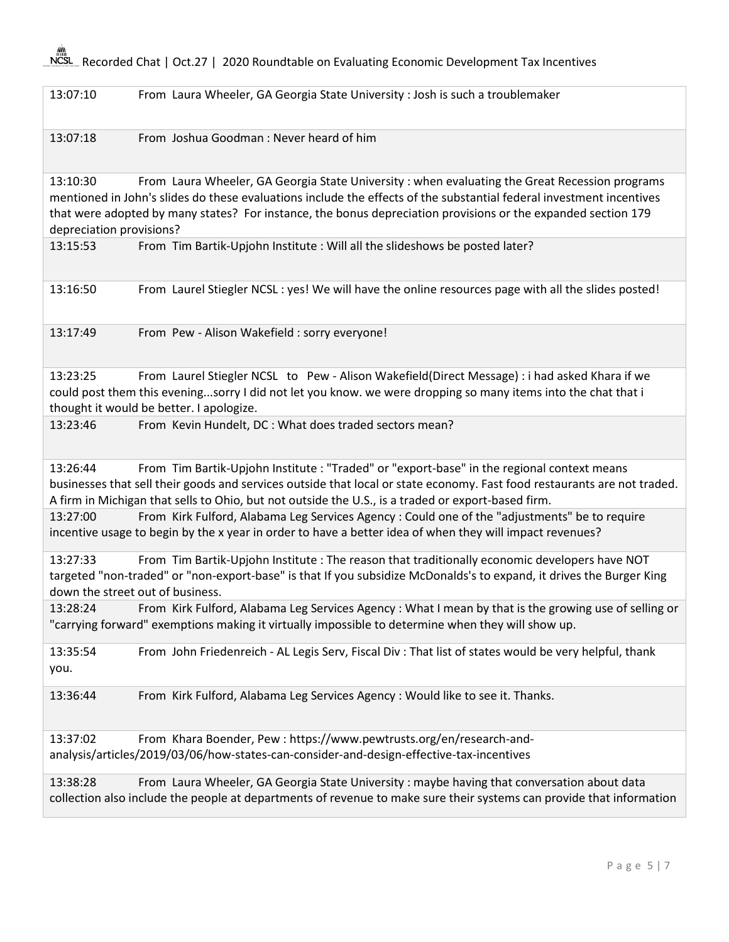NCSL Recorded Chat | Oct.27 | 2020 Roundtable on Evaluating Economic Development Tax Incentives

13:07:10 From Laura Wheeler, GA Georgia State University : Josh is such a troublemaker

13:07:18 From Joshua Goodman : Never heard of him

13:10:30 From Laura Wheeler, GA Georgia State University : when evaluating the Great Recession programs mentioned in John's slides do these evaluations include the effects of the substantial federal investment incentives that were adopted by many states? For instance, the bonus depreciation provisions or the expanded section 179 depreciation provisions?

| 13:15:53 | From Tim Bartik-Upjohn Institute : Will all the slideshows be posted later? |
|----------|-----------------------------------------------------------------------------|
|----------|-----------------------------------------------------------------------------|

13:16:50 From Laurel Stiegler NCSL : yes! We will have the online resources page with all the slides posted!

13:17:49 From Pew - Alison Wakefield : sorry everyone!

13:23:25 From Laurel Stiegler NCSL to Pew - Alison Wakefield(Direct Message) : i had asked Khara if we could post them this evening...sorry I did not let you know. we were dropping so many items into the chat that i thought it would be better. I apologize.

13:23:46 From Kevin Hundelt, DC : What does traded sectors mean?

13:26:44 From Tim Bartik-Upjohn Institute : "Traded" or "export-base" in the regional context means businesses that sell their goods and services outside that local or state economy. Fast food restaurants are not traded. A firm in Michigan that sells to Ohio, but not outside the U.S., is a traded or export-based firm.

13:27:00 From Kirk Fulford, Alabama Leg Services Agency : Could one of the "adjustments" be to require incentive usage to begin by the x year in order to have a better idea of when they will impact revenues?

13:27:33 From Tim Bartik-Upjohn Institute : The reason that traditionally economic developers have NOT targeted "non-traded" or "non-export-base" is that If you subsidize McDonalds's to expand, it drives the Burger King down the street out of business.

13:28:24 From Kirk Fulford, Alabama Leg Services Agency : What I mean by that is the growing use of selling or "carrying forward" exemptions making it virtually impossible to determine when they will show up.

13:35:54 From John Friedenreich - AL Legis Serv, Fiscal Div : That list of states would be very helpful, thank you.

13:36:44 From Kirk Fulford, Alabama Leg Services Agency : Would like to see it. Thanks.

13:37:02 From Khara Boender, Pew : https://www.pewtrusts.org/en/research-andanalysis/articles/2019/03/06/how-states-can-consider-and-design-effective-tax-incentives

13:38:28 From Laura Wheeler, GA Georgia State University : maybe having that conversation about data collection also include the people at departments of revenue to make sure their systems can provide that information